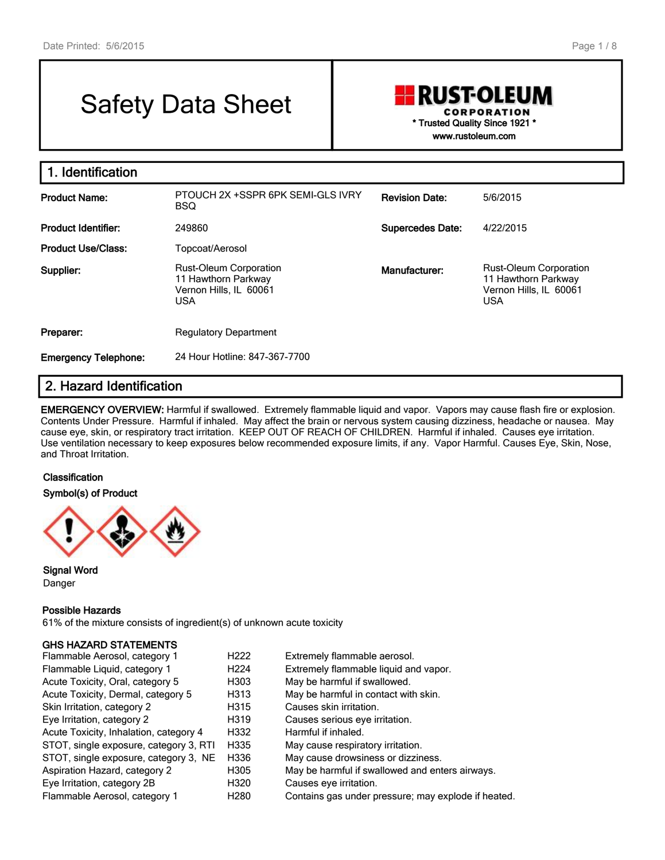# Safety Data Sheet

### **RUST-OLEUM CORPORATION** \* Trusted Quality Since 1921 \* www.rustoleum.com

1. Identification Product Name: PTOUCH 2X +SSPR 6PK SEMI-GLS IVRY BSQ Revision Date: 5/6/2015 Product Identifier: 249860 2008 2008 2009 2009 2008 Supercedes Date: 4/22/2015 Product Use/Class: Topcoat/Aerosol Supplier: Rust-Oleum Corporation 11 Hawthorn Parkway Vernon Hills, IL 60061 USA Manufacturer: Rust-Oleum Corporation 11 Hawthorn Parkway Vernon Hills, IL 60061 USA **Preparer:** Regulatory Department Emergency Telephone: 24 Hour Hotline: 847-367-7700

### 2. Hazard Identification

EMERGENCY OVERVIEW: Harmful if swallowed. Extremely flammable liquid and vapor. Vapors may cause flash fire or explosion. Contents Under Pressure. Harmful if inhaled. May affect the brain or nervous system causing dizziness, headache or nausea. May cause eye, skin, or respiratory tract irritation. KEEP OUT OF REACH OF CHILDREN. Harmful if inhaled. Causes eye irritation. Use ventilation necessary to keep exposures below recommended exposure limits, if any. Vapor Harmful. Causes Eye, Skin, Nose, and Throat Irritation.

#### **Classification**

Symbol(s) of Product



Signal Word Danger

#### Possible Hazards

61% of the mixture consists of ingredient(s) of unknown acute toxicity

#### GHS HAZARD STATEMENTS

| Flammable Aerosol, category 1          | H222             | Extremely flammable aerosol.                        |
|----------------------------------------|------------------|-----------------------------------------------------|
| Flammable Liquid, category 1           | H <sub>224</sub> | Extremely flammable liquid and vapor.               |
| Acute Toxicity, Oral, category 5       | H303             | May be harmful if swallowed.                        |
| Acute Toxicity, Dermal, category 5     | H313             | May be harmful in contact with skin.                |
| Skin Irritation, category 2            | H315             | Causes skin irritation.                             |
| Eye Irritation, category 2             | H319             | Causes serious eye irritation.                      |
| Acute Toxicity, Inhalation, category 4 | H332             | Harmful if inhaled.                                 |
| STOT, single exposure, category 3, RTI | H335             | May cause respiratory irritation.                   |
| STOT, single exposure, category 3, NE  | H336             | May cause drowsiness or dizziness.                  |
| Aspiration Hazard, category 2          | H305             | May be harmful if swallowed and enters airways.     |
| Eye Irritation, category 2B            | H320             | Causes eye irritation.                              |
| Flammable Aerosol, category 1          | H <sub>280</sub> | Contains gas under pressure; may explode if heated. |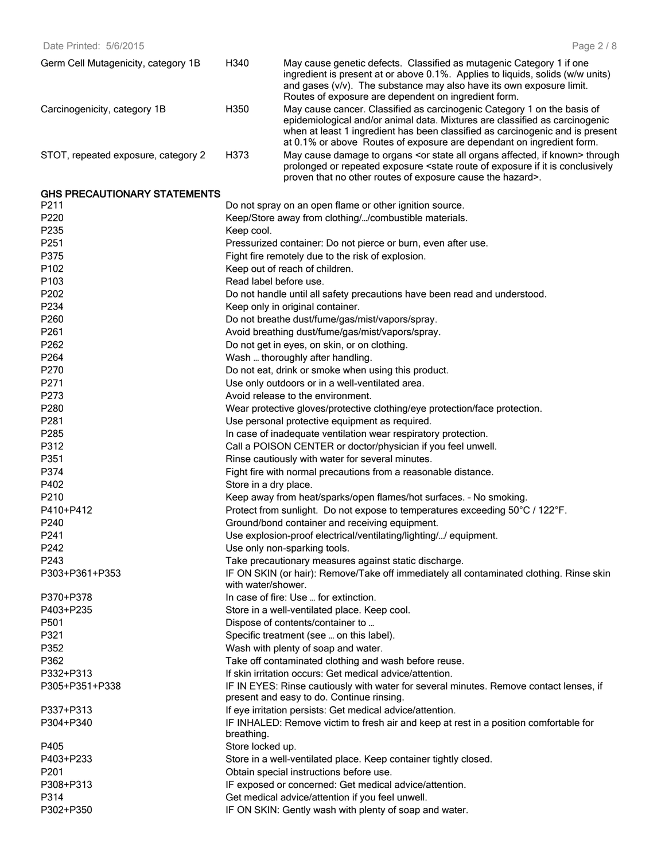Date Printed: 5/6/2015

| Germ Cell Mutagenicity, category 1B | H340 | May cause genetic defects. Classified as mutagenic Category 1 if one<br>ingredient is present at or above 0.1%. Applies to liquids, solids (w/w units)<br>and gases $(v/v)$ . The substance may also have its own exposure limit.<br>Routes of exposure are dependent on ingredient form.                        |
|-------------------------------------|------|------------------------------------------------------------------------------------------------------------------------------------------------------------------------------------------------------------------------------------------------------------------------------------------------------------------|
| Carcinogenicity, category 1B        | H350 | May cause cancer. Classified as carcinogenic Category 1 on the basis of<br>epidemiological and/or animal data. Mixtures are classified as carcinogenic<br>when at least 1 ingredient has been classified as carcinogenic and is present<br>at 0.1% or above Routes of exposure are dependant on ingredient form. |
| STOT, repeated exposure, category 2 | H373 | May cause damage to organs <or affected,="" all="" if="" known="" organs="" state=""> through<br/>prolonged or repeated exposure <state conclusively<br="" exposure="" if="" is="" it="" of="" route="">proven that no other routes of exposure cause the hazard&gt;.</state></or>                               |

#### GHS PRECAUTIONARY STATEMENTS

| P211             | Do not spray on an open flame or other ignition source.                                                       |
|------------------|---------------------------------------------------------------------------------------------------------------|
| P220             | Keep/Store away from clothing//combustible materials.                                                         |
| P235             | Keep cool.                                                                                                    |
| P251             | Pressurized container: Do not pierce or burn, even after use.                                                 |
| P375             | Fight fire remotely due to the risk of explosion.                                                             |
| P102             | Keep out of reach of children.                                                                                |
| P <sub>103</sub> | Read label before use.                                                                                        |
| P202             | Do not handle until all safety precautions have been read and understood.                                     |
| P234             | Keep only in original container.                                                                              |
| P260             | Do not breathe dust/fume/gas/mist/vapors/spray.                                                               |
| P261             | Avoid breathing dust/fume/gas/mist/vapors/spray.                                                              |
| P262             | Do not get in eyes, on skin, or on clothing.                                                                  |
| P264             | Wash  thoroughly after handling.                                                                              |
| P270             | Do not eat, drink or smoke when using this product.                                                           |
| P271             | Use only outdoors or in a well-ventilated area.                                                               |
| P273             | Avoid release to the environment.                                                                             |
| P280             | Wear protective gloves/protective clothing/eye protection/face protection.                                    |
| P281             | Use personal protective equipment as required.                                                                |
| P285             | In case of inadequate ventilation wear respiratory protection.                                                |
| P312             | Call a POISON CENTER or doctor/physician if you feel unwell.                                                  |
| P351             | Rinse cautiously with water for several minutes.                                                              |
| P374             | Fight fire with normal precautions from a reasonable distance.                                                |
| P402             | Store in a dry place.                                                                                         |
| P210             | Keep away from heat/sparks/open flames/hot surfaces. - No smoking.                                            |
| P410+P412        | Protect from sunlight. Do not expose to temperatures exceeding 50°C / 122°F.                                  |
| P <sub>240</sub> |                                                                                                               |
| P241             | Ground/bond container and receiving equipment.                                                                |
| P242             | Use explosion-proof electrical/ventilating/lighting// equipment.                                              |
| P243             | Use only non-sparking tools.                                                                                  |
| P303+P361+P353   | Take precautionary measures against static discharge.                                                         |
|                  | IF ON SKIN (or hair): Remove/Take off immediately all contaminated clothing. Rinse skin<br>with water/shower. |
| P370+P378        | In case of fire: Use  for extinction.                                                                         |
| P403+P235        | Store in a well-ventilated place. Keep cool.                                                                  |
| P501             | Dispose of contents/container to                                                                              |
| P321             | Specific treatment (see  on this label).                                                                      |
| P352             | Wash with plenty of soap and water.                                                                           |
| P362             | Take off contaminated clothing and wash before reuse.                                                         |
| P332+P313        | If skin irritation occurs: Get medical advice/attention.                                                      |
| P305+P351+P338   | IF IN EYES: Rinse cautiously with water for several minutes. Remove contact lenses, if                        |
|                  | present and easy to do. Continue rinsing.                                                                     |
| P337+P313        | If eye irritation persists: Get medical advice/attention.                                                     |
| P304+P340        | IF INHALED: Remove victim to fresh air and keep at rest in a position comfortable for                         |
|                  | breathing.                                                                                                    |
| P405             | Store locked up.                                                                                              |
| P403+P233        | Store in a well-ventilated place. Keep container tightly closed.                                              |
| P201             | Obtain special instructions before use.                                                                       |
| P308+P313        | IF exposed or concerned: Get medical advice/attention.                                                        |
| P314             | Get medical advice/attention if you feel unwell.                                                              |
| P302+P350        | IF ON SKIN: Gently wash with plenty of soap and water.                                                        |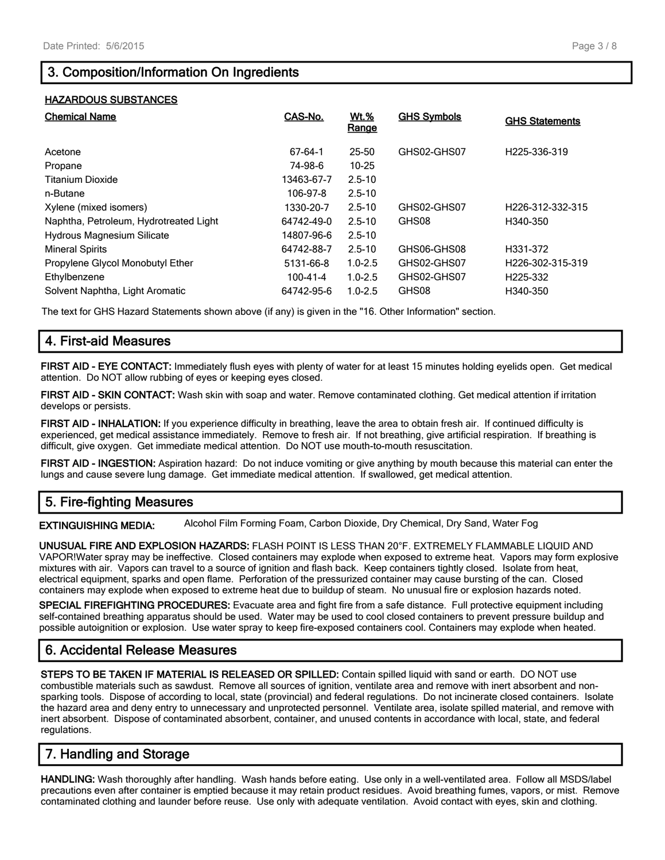### 3. Composition/Information On Ingredients

#### HAZARDOUS SUBSTANCES

| <b>Chemical Name</b>                   | CAS-No.    | <b>Wt.%</b><br>Range | <b>GHS Symbols</b> | <b>GHS Statements</b>         |
|----------------------------------------|------------|----------------------|--------------------|-------------------------------|
| Acetone                                | 67-64-1    | 25-50                | GHS02-GHS07        | H <sub>225</sub> -336-319     |
| Propane                                | 74-98-6    | $10 - 25$            |                    |                               |
| <b>Titanium Dioxide</b>                | 13463-67-7 | $2.5 - 10$           |                    |                               |
| n-Butane                               | 106-97-8   | $2.5 - 10$           |                    |                               |
| Xylene (mixed isomers)                 | 1330-20-7  | $2.5 - 10$           | GHS02-GHS07        | H <sub>226</sub> -312-332-315 |
| Naphtha, Petroleum, Hydrotreated Light | 64742-49-0 | $2.5 - 10$           | GHS08              | H340-350                      |
| <b>Hydrous Magnesium Silicate</b>      | 14807-96-6 | $2.5 - 10$           |                    |                               |
| <b>Mineral Spirits</b>                 | 64742-88-7 | $2.5 - 10$           | GHS06-GHS08        | H331-372                      |
| Propylene Glycol Monobutyl Ether       | 5131-66-8  | $1.0 - 2.5$          | GHS02-GHS07        | H <sub>226</sub> -302-315-319 |
| Ethylbenzene                           | 100-41-4   | $1.0 - 2.5$          | GHS02-GHS07        | H225-332                      |
| Solvent Naphtha, Light Aromatic        | 64742-95-6 | $1.0 - 2.5$          | GHS08              | H340-350                      |

The text for GHS Hazard Statements shown above (if any) is given in the "16. Other Information" section.

### 4. First-aid Measures

FIRST AID - EYE CONTACT: Immediately flush eyes with plenty of water for at least 15 minutes holding eyelids open. Get medical attention. Do NOT allow rubbing of eyes or keeping eyes closed.

FIRST AID - SKIN CONTACT: Wash skin with soap and water. Remove contaminated clothing. Get medical attention if irritation develops or persists.

FIRST AID - INHALATION: If you experience difficulty in breathing, leave the area to obtain fresh air. If continued difficulty is experienced, get medical assistance immediately. Remove to fresh air. If not breathing, give artificial respiration. If breathing is difficult, give oxygen. Get immediate medical attention. Do NOT use mouth-to-mouth resuscitation.

FIRST AID - INGESTION: Aspiration hazard: Do not induce vomiting or give anything by mouth because this material can enter the lungs and cause severe lung damage. Get immediate medical attention. If swallowed, get medical attention.

### 5. Fire-fighting Measures

EXTINGUISHING MEDIA: Alcohol Film Forming Foam, Carbon Dioxide, Dry Chemical, Dry Sand, Water Fog

UNUSUAL FIRE AND EXPLOSION HAZARDS: FLASH POINT IS LESS THAN 20°F. EXTREMELY FLAMMABLE LIQUID AND VAPOR!Water spray may be ineffective. Closed containers may explode when exposed to extreme heat. Vapors may form explosive mixtures with air. Vapors can travel to a source of ignition and flash back. Keep containers tightly closed. Isolate from heat, electrical equipment, sparks and open flame. Perforation of the pressurized container may cause bursting of the can. Closed containers may explode when exposed to extreme heat due to buildup of steam. No unusual fire or explosion hazards noted.

SPECIAL FIREFIGHTING PROCEDURES: Evacuate area and fight fire from a safe distance. Full protective equipment including self-contained breathing apparatus should be used. Water may be used to cool closed containers to prevent pressure buildup and possible autoignition or explosion. Use water spray to keep fire-exposed containers cool. Containers may explode when heated.

### 6. Accidental Release Measures

STEPS TO BE TAKEN IF MATERIAL IS RELEASED OR SPILLED: Contain spilled liquid with sand or earth. DO NOT use combustible materials such as sawdust. Remove all sources of ignition, ventilate area and remove with inert absorbent and nonsparking tools. Dispose of according to local, state (provincial) and federal regulations. Do not incinerate closed containers. Isolate the hazard area and deny entry to unnecessary and unprotected personnel. Ventilate area, isolate spilled material, and remove with inert absorbent. Dispose of contaminated absorbent, container, and unused contents in accordance with local, state, and federal regulations.

### 7. Handling and Storage

HANDLING: Wash thoroughly after handling. Wash hands before eating. Use only in a well-ventilated area. Follow all MSDS/label precautions even after container is emptied because it may retain product residues. Avoid breathing fumes, vapors, or mist. Remove contaminated clothing and launder before reuse. Use only with adequate ventilation. Avoid contact with eyes, skin and clothing.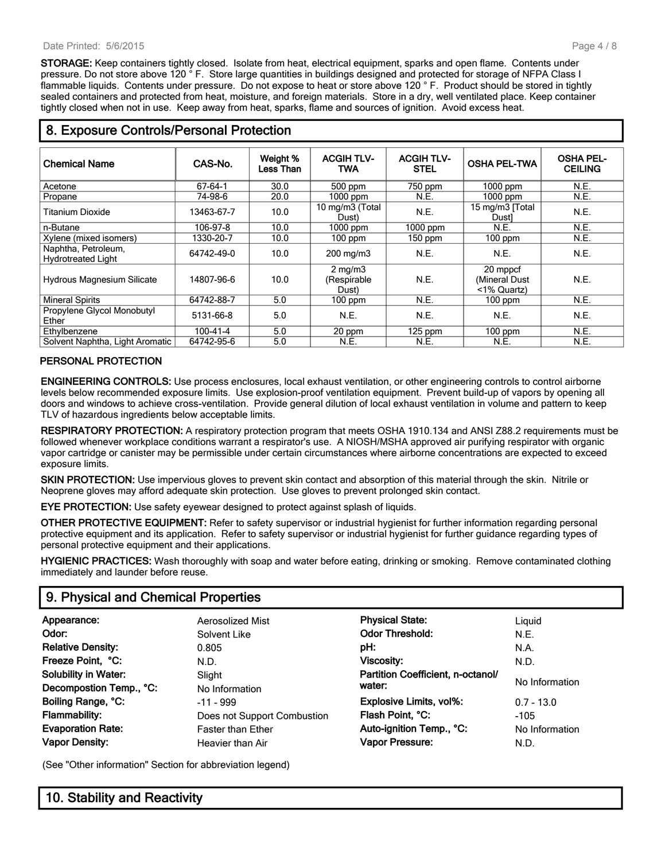STORAGE: Keep containers tightly closed. Isolate from heat, electrical equipment, sparks and open flame. Contents under pressure. Do not store above 120 ° F. Store large quantities in buildings designed and protected for storage of NFPA Class I flammable liquids. Contents under pressure. Do not expose to heat or store above 120 °F. Product should be stored in tightly sealed containers and protected from heat, moisture, and foreign materials. Store in a dry, well ventilated place. Keep container tightly closed when not in use. Keep away from heat, sparks, flame and sources of ignition. Avoid excess heat.

#### Chemical Name **CAS-No.** Weight % Less Than ACGIH TLV-TWA ACGIH TLV-GIH TLV-  $\begin{array}{|c|c|c|}\hline\text{GIH}\text{TLV-}} & \text{OSHA PEL-} & \text{OSHA PEL-} \\\hline\end{array}$ **CEILING** Acetone 67-64-1 30.0 500 ppm 750 ppm 1000 ppm N.E. Propane 74-98-6 20.0 1000 ppm N.E. 1000 ppm N.E. Titanium Dioxide 13463-67-7 10.0 10 mg/m3 (Total Dust) mg/m3 (Total N.E. 15 mg/m3 [Total Dust]<br>
Dust) 1000 ppm 1000 ppm N.E.  $\begin{array}{c|c}\n\text{Dust} \\
\hline\n\text{N.E.} \\
\hline\n\text{N.E.} \\
\end{array}$  N.E. n-Butane 106-97-8 10.0 1000 ppm 1000 ppm N.E. N.E. Xylene (mixed isomers) 1330-20-7 10.0 100 ppm 150 ppm 100 ppm N.E. Naphtha, Petroleum,<br>Hydrotreated Light Naphlila, i elioledili, i i i i 64742-49-0 | 10.0 | 200 mg/m3 | N.E. | N.E. | N.E. | N.E.<br>Hydrotreated Light Hydrous Magnesium Silicate | 14807-96-6 | 10.0 2 mg/m3 (Respirable Dust) N.E. 20 mppcf (Mineral Dust <1% Quartz) N.E. Mineral Spirits 64742-88-7 5.0 100 ppm N.E. 100 ppm N.E. Propylene Glycol Monobutyl Ether 5131-66-8 5.0 N.E. N.E. N.E. N.E. Ethylbenzene 100-41-4 5.0 20 ppm 125 ppm 100 ppm N.E. Solvent Naphtha, Light Aromatic 64742-95-6 5.0 N.E. N.E. N.E. N.E.

### 8. Exposure Controls/Personal Protection

### PERSONAL PROTECTION

ENGINEERING CONTROLS: Use process enclosures, local exhaust ventilation, or other engineering controls to control airborne levels below recommended exposure limits. Use explosion-proof ventilation equipment. Prevent build-up of vapors by opening all doors and windows to achieve cross-ventilation. Provide general dilution of local exhaust ventilation in volume and pattern to keep TLV of hazardous ingredients below acceptable limits.

RESPIRATORY PROTECTION: A respiratory protection program that meets OSHA 1910.134 and ANSI Z88.2 requirements must be followed whenever workplace conditions warrant a respirator's use. A NIOSH/MSHA approved air purifying respirator with organic vapor cartridge or canister may be permissible under certain circumstances where airborne concentrations are expected to exceed exposure limits.

SKIN PROTECTION: Use impervious gloves to prevent skin contact and absorption of this material through the skin. Nitrile or Neoprene gloves may afford adequate skin protection. Use gloves to prevent prolonged skin contact.

EYE PROTECTION: Use safety eyewear designed to protect against splash of liquids.

OTHER PROTECTIVE EQUIPMENT: Refer to safety supervisor or industrial hygienist for further information regarding personal protective equipment and its application. Refer to safety supervisor or industrial hygienist for further guidance regarding types of personal protective equipment and their applications.

HYGIENIC PRACTICES: Wash thoroughly with soap and water before eating, drinking or smoking. Remove contaminated clothing immediately and launder before reuse.

### 9. Physical and Chemical Properties

| Appearance:                 | Aerosolized Mist            | <b>Physical State:</b>            | Liguid         |
|-----------------------------|-----------------------------|-----------------------------------|----------------|
| Odor:                       | Solvent Like                | <b>Odor Threshold:</b>            | N.E.           |
| <b>Relative Density:</b>    | 0.805                       | pH:                               | N.A.           |
| Freeze Point, °C:           | N.D.                        | Viscosity:                        | N.D.           |
| <b>Solubility in Water:</b> | Slight                      | Partition Coefficient, n-octanol/ |                |
| Decompostion Temp., °C:     | No Information              | water:                            | No Information |
| Boiling Range, °C:          | $-11 - 999$                 | Explosive Limits, vol%:           | $0.7 - 13.0$   |
| Flammability:               | Does not Support Combustion | Flash Point, °C:                  | $-105$         |
| <b>Evaporation Rate:</b>    | <b>Faster than Ether</b>    | Auto-ignition Temp., °C:          | No Information |
| <b>Vapor Density:</b>       | Heavier than Air            | Vapor Pressure:                   | N.D.           |

(See "Other information" Section for abbreviation legend)

### 10. Stability and Reactivity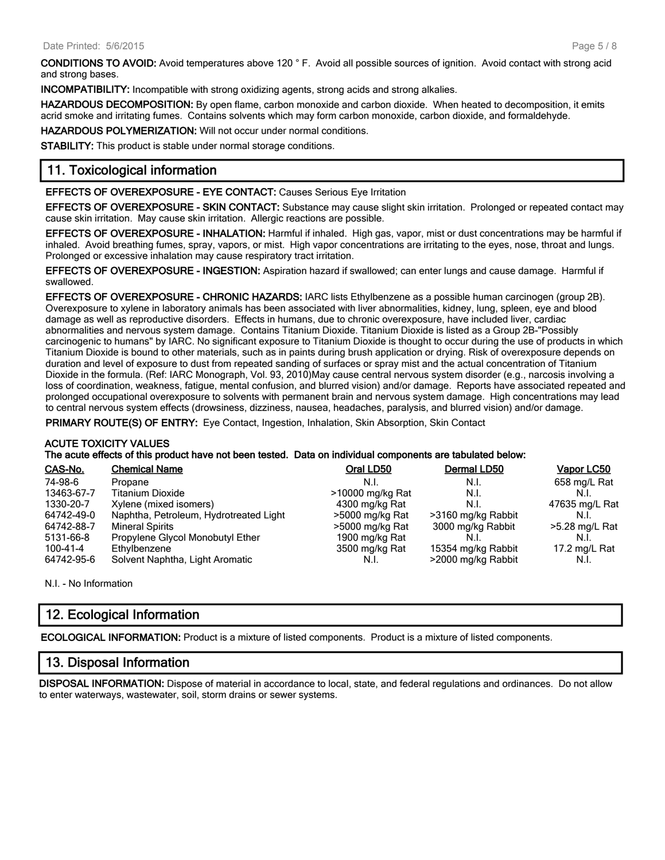CONDITIONS TO AVOID: Avoid temperatures above 120 ° F. Avoid all possible sources of ignition. Avoid contact with strong acid and strong bases.

INCOMPATIBILITY: Incompatible with strong oxidizing agents, strong acids and strong alkalies.

HAZARDOUS DECOMPOSITION: By open flame, carbon monoxide and carbon dioxide. When heated to decomposition, it emits acrid smoke and irritating fumes. Contains solvents which may form carbon monoxide, carbon dioxide, and formaldehyde.

HAZARDOUS POLYMERIZATION: Will not occur under normal conditions.

STABILITY: This product is stable under normal storage conditions.

### 11. Toxicological information

EFFECTS OF OVEREXPOSURE - EYE CONTACT: Causes Serious Eye Irritation

EFFECTS OF OVEREXPOSURE - SKIN CONTACT: Substance may cause slight skin irritation. Prolonged or repeated contact may cause skin irritation. May cause skin irritation. Allergic reactions are possible.

EFFECTS OF OVEREXPOSURE - INHALATION: Harmful if inhaled. High gas, vapor, mist or dust concentrations may be harmful if inhaled. Avoid breathing fumes, spray, vapors, or mist. High vapor concentrations are irritating to the eyes, nose, throat and lungs. Prolonged or excessive inhalation may cause respiratory tract irritation.

EFFECTS OF OVEREXPOSURE - INGESTION: Aspiration hazard if swallowed; can enter lungs and cause damage. Harmful if swallowed.

EFFECTS OF OVEREXPOSURE - CHRONIC HAZARDS: IARC lists Ethylbenzene as a possible human carcinogen (group 2B). Overexposure to xylene in laboratory animals has been associated with liver abnormalities, kidney, lung, spleen, eye and blood damage as well as reproductive disorders. Effects in humans, due to chronic overexposure, have included liver, cardiac abnormalities and nervous system damage. Contains Titanium Dioxide. Titanium Dioxide is listed as a Group 2B-"Possibly carcinogenic to humans" by IARC. No significant exposure to Titanium Dioxide is thought to occur during the use of products in which Titanium Dioxide is bound to other materials, such as in paints during brush application or drying. Risk of overexposure depends on duration and level of exposure to dust from repeated sanding of surfaces or spray mist and the actual concentration of Titanium Dioxide in the formula. (Ref: IARC Monograph, Vol. 93, 2010)May cause central nervous system disorder (e.g., narcosis involving a loss of coordination, weakness, fatigue, mental confusion, and blurred vision) and/or damage. Reports have associated repeated and prolonged occupational overexposure to solvents with permanent brain and nervous system damage. High concentrations may lead to central nervous system effects (drowsiness, dizziness, nausea, headaches, paralysis, and blurred vision) and/or damage.

PRIMARY ROUTE(S) OF ENTRY: Eye Contact, Ingestion, Inhalation, Skin Absorption, Skin Contact

#### ACUTE TOXICITY VALUES

The acute effects of this product have not been tested. Data on individual components are tabulated below:

| CAS-No.    | <b>Chemical Name</b>                   | Oral LD50        | Dermal LD50        | Vapor LC50     |
|------------|----------------------------------------|------------------|--------------------|----------------|
| 74-98-6    | Propane                                | N.I.             | N.I.               | 658 mg/L Rat   |
| 13463-67-7 | <b>Titanium Dioxide</b>                | >10000 mg/kg Rat | N.I.               | N.I.           |
| 1330-20-7  | Xylene (mixed isomers)                 | 4300 mg/kg Rat   | N.I.               | 47635 mg/L Rat |
| 64742-49-0 | Naphtha, Petroleum, Hydrotreated Light | >5000 mg/kg Rat  | >3160 mg/kg Rabbit | N.I.           |
| 64742-88-7 | <b>Mineral Spirits</b>                 | >5000 mg/kg Rat  | 3000 mg/kg Rabbit  | >5.28 mg/L Rat |
| 5131-66-8  | Propylene Glycol Monobutyl Ether       | 1900 mg/kg Rat   |                    | N.I.           |
| 100-41-4   | Ethylbenzene                           | 3500 mg/kg Rat   | 15354 mg/kg Rabbit | 17.2 mg/L Rat  |
| 64742-95-6 | Solvent Naphtha, Light Aromatic        | N.I.             | >2000 mg/kg Rabbit | N.I.           |

N.I. - No Information

### 12. Ecological Information

ECOLOGICAL INFORMATION: Product is a mixture of listed components. Product is a mixture of listed components.

### 13. Disposal Information

DISPOSAL INFORMATION: Dispose of material in accordance to local, state, and federal regulations and ordinances. Do not allow to enter waterways, wastewater, soil, storm drains or sewer systems.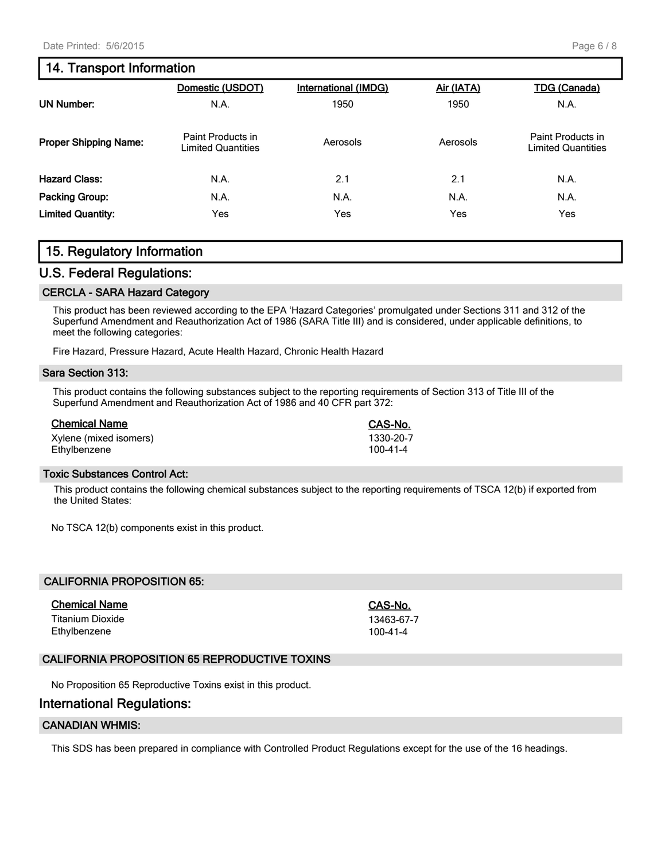### 14. Transport Information

|                              | Domestic (USDOT)                        | <b>International (IMDG)</b> | Air (IATA) | <b>TDG (Canada)</b>                            |
|------------------------------|-----------------------------------------|-----------------------------|------------|------------------------------------------------|
| UN Number:                   | N.A.                                    | 1950                        | 1950       | N.A.                                           |
| <b>Proper Shipping Name:</b> | Paint Products in<br>Limited Quantities | Aerosols                    | Aerosols   | Paint Products in<br><b>Limited Quantities</b> |
| <b>Hazard Class:</b>         | N.A.                                    | 2.1                         | 2.1        | N.A.                                           |
| Packing Group:               | N.A.                                    | N.A.                        | N.A.       | N.A.                                           |
| <b>Limited Quantity:</b>     | Yes                                     | Yes                         | Yes        | Yes                                            |

### 15. Regulatory Information

### U.S. Federal Regulations:

#### CERCLA - SARA Hazard Category

This product has been reviewed according to the EPA 'Hazard Categories' promulgated under Sections 311 and 312 of the Superfund Amendment and Reauthorization Act of 1986 (SARA Title III) and is considered, under applicable definitions, to meet the following categories:

Fire Hazard, Pressure Hazard, Acute Health Hazard, Chronic Health Hazard

#### Sara Section 313:

This product contains the following substances subject to the reporting requirements of Section 313 of Title III of the Superfund Amendment and Reauthorization Act of 1986 and 40 CFR part 372:

| <b>Chemical Name</b>   | CAS-No.   |
|------------------------|-----------|
| Xylene (mixed isomers) | 1330-20-7 |
| Ethylbenzene           | 100-41-4  |

#### Toxic Substances Control Act:

This product contains the following chemical substances subject to the reporting requirements of TSCA 12(b) if exported from the United States:

No TSCA 12(b) components exist in this product.

| <b>CALIFORNIA PROPOSITION 65:</b> |                        |
|-----------------------------------|------------------------|
| <b>Chemical Name</b>              | CAS-No.                |
| Titanium Dioxide<br>Ethylbenzene  | 13463-67-7<br>100-41-4 |
|                                   |                        |

#### CALIFORNIA PROPOSITION 65 REPRODUCTIVE TOXINS

No Proposition 65 Reproductive Toxins exist in this product.

### International Regulations:

#### CANADIAN WHMIS:

This SDS has been prepared in compliance with Controlled Product Regulations except for the use of the 16 headings.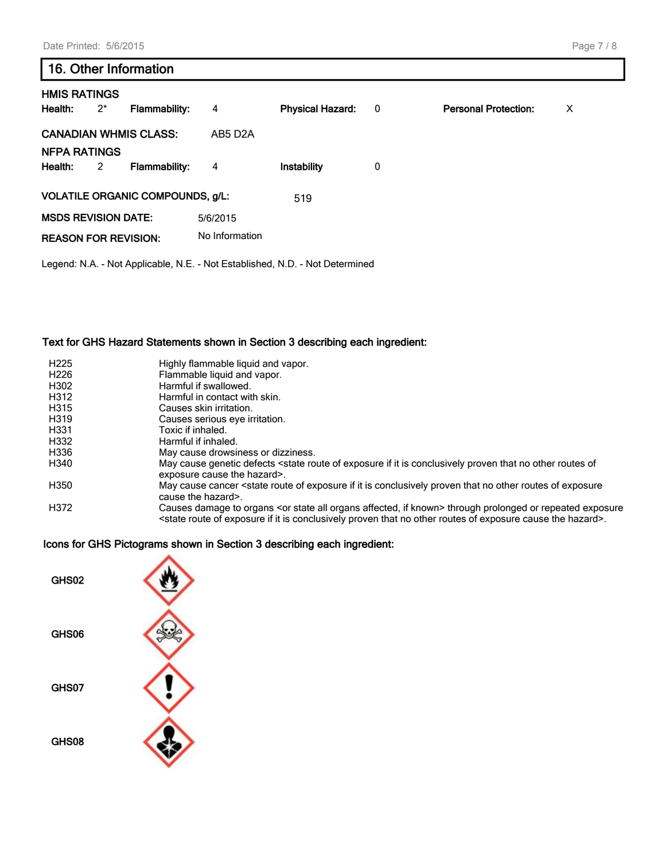#### Page 7 / 8

## 16. Other Information

| <b>HMIS RATINGS</b><br>Health: | $2^*$ | <b>Flammability:</b>                    | 4                    | <b>Physical Hazard:</b> | 0 | <b>Personal Protection:</b> | $\times$ |
|--------------------------------|-------|-----------------------------------------|----------------------|-------------------------|---|-----------------------------|----------|
| <b>CANADIAN WHMIS CLASS:</b>   |       |                                         | AB5 D <sub>2</sub> A |                         |   |                             |          |
| <b>NFPA RATINGS</b><br>Health: | 2     | <b>Flammability:</b>                    | 4                    | <b>Instability</b>      | 0 |                             |          |
|                                |       | <b>VOLATILE ORGANIC COMPOUNDS, g/L:</b> |                      | 519                     |   |                             |          |
| <b>MSDS REVISION DATE:</b>     |       |                                         | 5/6/2015             |                         |   |                             |          |
| <b>REASON FOR REVISION:</b>    |       |                                         | No Information       |                         |   |                             |          |

Legend: N.A. - Not Applicable, N.E. - Not Established, N.D. - Not Determined

#### Text for GHS Hazard Statements shown in Section 3 describing each ingredient:

| H <sub>225</sub> | Highly flammable liquid and vapor.                                                                                                                                                                                                                                                    |
|------------------|---------------------------------------------------------------------------------------------------------------------------------------------------------------------------------------------------------------------------------------------------------------------------------------|
| H <sub>226</sub> | Flammable liquid and vapor.                                                                                                                                                                                                                                                           |
| H302             | Harmful if swallowed.                                                                                                                                                                                                                                                                 |
| H312             | Harmful in contact with skin.                                                                                                                                                                                                                                                         |
| H315             | Causes skin irritation.                                                                                                                                                                                                                                                               |
| H319             | Causes serious eye irritation.                                                                                                                                                                                                                                                        |
| H331             | Toxic if inhaled.                                                                                                                                                                                                                                                                     |
| H332             | Harmful if inhaled.                                                                                                                                                                                                                                                                   |
| H336             | May cause drowsiness or dizziness.                                                                                                                                                                                                                                                    |
| H340             | May cause genetic defects <state conclusively="" exposure="" if="" is="" it="" no="" of="" of<br="" other="" proven="" route="" routes="" that="">exposure cause the hazard&gt;.</state>                                                                                              |
| H350             | May cause cancer <state conclusively="" exposure="" exposure<br="" if="" is="" it="" no="" of="" other="" proven="" route="" routes="" that="">cause the hazard&gt;.</state>                                                                                                          |
| H372             | Causes damage to organs <or affected,="" all="" if="" known="" organs="" state=""> through prolonged or repeated exposure<br/><state cause="" conclusively="" exposure="" hazard="" if="" is="" it="" no="" of="" other="" proven="" route="" routes="" that="" the="">.</state></or> |

### Icons for GHS Pictograms shown in Section 3 describing each ingredient: